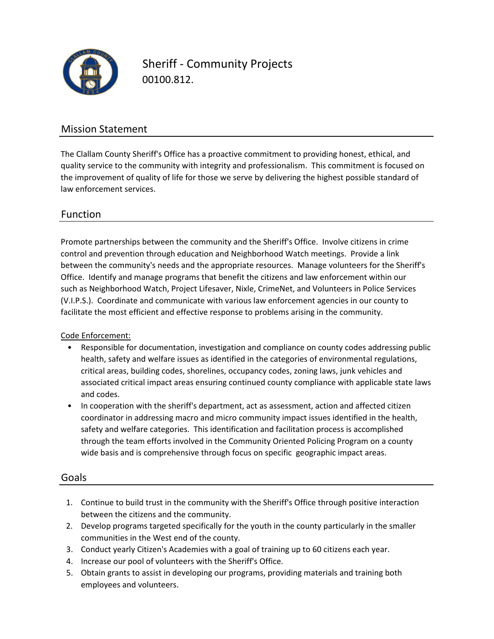

Sheriff - Community Projects 00100.812.

## Mission Statement

The Clallam County Sheriff's Office has a proactive commitment to providing honest, ethical, and quality service to the community with integrity and professionalism. This commitment is focused on the improvement of quality of life for those we serve by delivering the highest possible standard of law enforcement services.

# Function

control and prevention through education and Neighborhood Watch meetings. Provide a link Promote partnerships between the community and the Sheriff's Office. Involve citizens in crime between the community's needs and the appropriate resources. Manage volunteers for the Sheriff's Office. Identify and manage programs that benefit the citizens and law enforcement within our such as Neighborhood Watch, Project Lifesaver, Nixle, CrimeNet, and Volunteers in Police Services (V.I.P.S.). Coordinate and communicate with various law enforcement agencies in our county to facilitate the most efficient and effective response to problems arising in the community.

Code Enforcement:

- Responsible for documentation, investigation and compliance on county codes addressing public health, safety and welfare issues as identified in the categories of environmental regulations, critical areas, building codes, shorelines, occupancy codes, zoning laws, junk vehicles and associated critical impact areas ensuring continued county compliance with applicable state laws and codes.
- In cooperation with the sheriff's department, act as assessment, action and affected citizen coordinator in addressing macro and micro community impact issues identified in the health, safety and welfare categories. This identification and facilitation process is accomplished through the team efforts involved in the Community Oriented Policing Program on a county wide basis and is comprehensive through focus on specific geographic impact areas.

## Goals

- 1. Continue to build trust in the community with the Sheriff's Office through positive interaction between the citizens and the community.
- 2. Develop programs targeted specifically for the youth in the county particularly in the smaller communities in the West end of the county.
- 3. Conduct yearly Citizen's Academies with a goal of training up to 60 citizens each year.
- 4. Increase our pool of volunteers with the Sheriff's Office.
- 5. Obtain grants to assist in developing our programs, providing materials and training both employees and volunteers.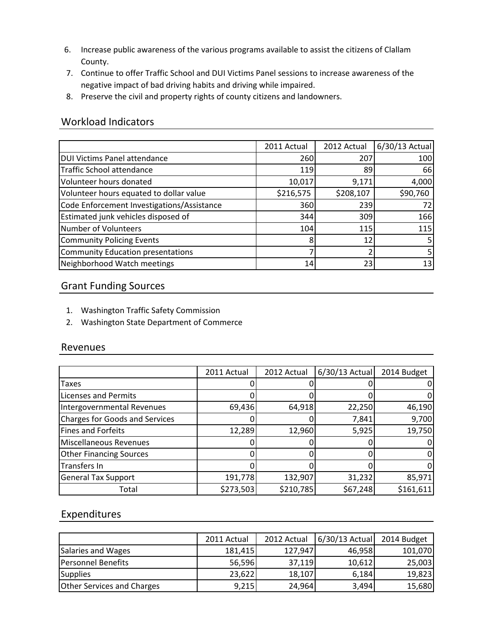- 6. Increase public awareness of the various programs available to assist the citizens of Clallam County.
- 7. Continue to offer Traffic School and DUI Victims Panel sessions to increase awareness of the negative impact of bad driving habits and driving while impaired.
- 8. Preserve the civil and property rights of county citizens and landowners.

## Workload Indicators

|                                            | 2011 Actual | 2012 Actual | 6/30/13 Actual |
|--------------------------------------------|-------------|-------------|----------------|
| <b>DUI Victims Panel attendance</b>        | 260         | 207         | 100            |
| Traffic School attendance                  | 119         | 89          | 66             |
| Volunteer hours donated                    | 10,017      | 9,171       | 4,000          |
| Volunteer hours equated to dollar value    | \$216,575   | \$208,107   | \$90,760       |
| Code Enforcement Investigations/Assistance | 360         | 239         | 72             |
| Estimated junk vehicles disposed of        | 344         | 309         | 166            |
| Number of Volunteers                       | 104         | 115         | 115            |
| Community Policing Events                  | 8           | 12          |                |
| Community Education presentations          |             |             |                |
| Neighborhood Watch meetings                | 14          | 23          | 13             |

# Grant Funding Sources

- 1. Washington Traffic Safety Commission
- 2. Washington State Department of Commerce

## Revenues

|                                | 2011 Actual | 2012 Actual | 6/30/13 Actual | 2014 Budget |
|--------------------------------|-------------|-------------|----------------|-------------|
| <b>Taxes</b>                   |             |             |                |             |
| Licenses and Permits           |             |             |                |             |
| Intergovernmental Revenues     | 69,436      | 64,918      | 22,250         | 46,190      |
| Charges for Goods and Services |             |             | 7,841          | 9,700       |
| Fines and Forfeits             | 12,289      | 12,960      | 5,925          | 19,750      |
| Miscellaneous Revenues         |             |             |                |             |
| <b>Other Financing Sources</b> |             |             |                |             |
| Transfers In                   |             |             |                |             |
| <b>General Tax Support</b>     | 191,778     | 132,907     | 31,232         | 85,971      |
| Total                          | \$273,503   | \$210,785   | \$67,248       | \$161,611   |

## Expenditures

|                                   | 2011 Actual | 2012 Actual | 6/30/13 Actual | 2014 Budget |
|-----------------------------------|-------------|-------------|----------------|-------------|
| Salaries and Wages                | 181,415     | 127,947     | 46,958         | 101,070     |
| <b>Personnel Benefits</b>         | 56,596      | 37,119      | 10,612         | 25,003      |
| <b>Supplies</b>                   | 23,622      | 18,107      | 6,184          | 19,823      |
| <b>Other Services and Charges</b> | 9,215       | 24,964      | 3,494          | 15,680      |